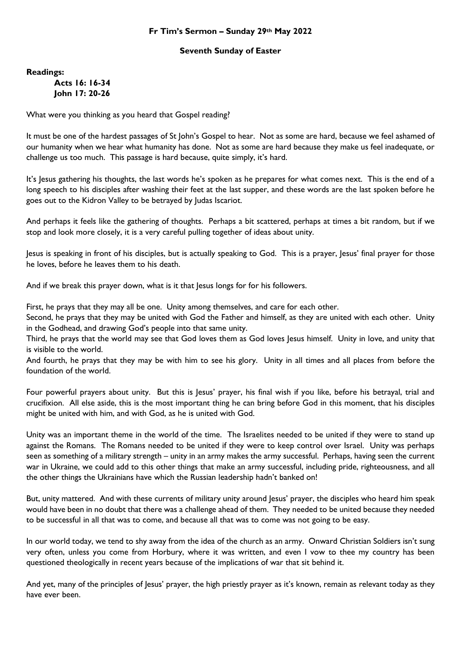## **Fr Tim's Sermon – Sunday 29th May 2022**

## **Seventh Sunday of Easter**

**Readings:**

**Acts 16: 16-34 John 17: 20-26**

What were you thinking as you heard that Gospel reading?

It must be one of the hardest passages of St John's Gospel to hear. Not as some are hard, because we feel ashamed of our humanity when we hear what humanity has done. Not as some are hard because they make us feel inadequate, or challenge us too much. This passage is hard because, quite simply, it's hard.

It's Jesus gathering his thoughts, the last words he's spoken as he prepares for what comes next. This is the end of a long speech to his disciples after washing their feet at the last supper, and these words are the last spoken before he goes out to the Kidron Valley to be betrayed by Judas Iscariot.

And perhaps it feels like the gathering of thoughts. Perhaps a bit scattered, perhaps at times a bit random, but if we stop and look more closely, it is a very careful pulling together of ideas about unity.

Jesus is speaking in front of his disciples, but is actually speaking to God. This is a prayer, Jesus' final prayer for those he loves, before he leaves them to his death.

And if we break this prayer down, what is it that Jesus longs for for his followers.

First, he prays that they may all be one. Unity among themselves, and care for each other.

Second, he prays that they may be united with God the Father and himself, as they are united with each other. Unity in the Godhead, and drawing God's people into that same unity.

Third, he prays that the world may see that God loves them as God loves lesus himself. Unity in love, and unity that is visible to the world.

And fourth, he prays that they may be with him to see his glory. Unity in all times and all places from before the foundation of the world.

Four powerful prayers about unity. But this is Jesus' prayer, his final wish if you like, before his betrayal, trial and crucifixion. All else aside, this is the most important thing he can bring before God in this moment, that his disciples might be united with him, and with God, as he is united with God.

Unity was an important theme in the world of the time. The Israelites needed to be united if they were to stand up against the Romans. The Romans needed to be united if they were to keep control over Israel. Unity was perhaps seen as something of a military strength – unity in an army makes the army successful. Perhaps, having seen the current war in Ukraine, we could add to this other things that make an army successful, including pride, righteousness, and all the other things the Ukrainians have which the Russian leadership hadn't banked on!

But, unity mattered. And with these currents of military unity around Jesus' prayer, the disciples who heard him speak would have been in no doubt that there was a challenge ahead of them. They needed to be united because they needed to be successful in all that was to come, and because all that was to come was not going to be easy.

In our world today, we tend to shy away from the idea of the church as an army. Onward Christian Soldiers isn't sung very often, unless you come from Horbury, where it was written, and even I vow to thee my country has been questioned theologically in recent years because of the implications of war that sit behind it.

And yet, many of the principles of Jesus' prayer, the high priestly prayer as it's known, remain as relevant today as they have ever been.